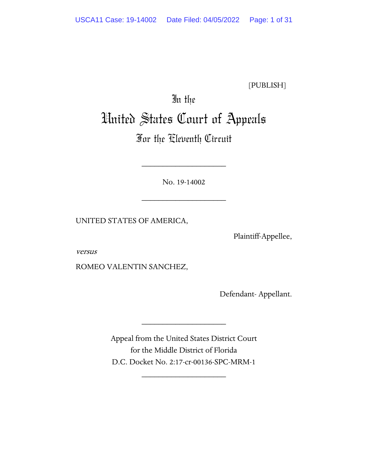[PUBLISH]

# In the United States Court of Appeals

# For the Eleventh Circuit

No. 19-14002

\_\_\_\_\_\_\_\_\_\_\_\_\_\_\_\_\_\_\_\_

\_\_\_\_\_\_\_\_\_\_\_\_\_\_\_\_\_\_\_\_

UNITED STATES OF AMERICA,

Plaintiff-Appellee,

versus

ROMEO VALENTIN SANCHEZ,

Defendant- Appellant.

Appeal from the United States District Court for the Middle District of Florida D.C. Docket No. 2:17-cr-00136-SPC-MRM-1

\_\_\_\_\_\_\_\_\_\_\_\_\_\_\_\_\_\_\_\_

\_\_\_\_\_\_\_\_\_\_\_\_\_\_\_\_\_\_\_\_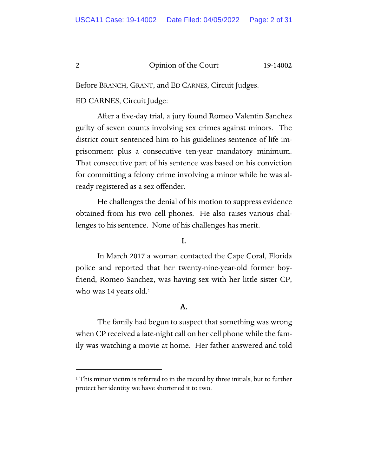Before BRANCH, GRANT, and ED CARNES, Circuit Judges.

# ED CARNES, Circuit Judge:

After a five-day trial, a jury found Romeo Valentin Sanchez guilty of seven counts involving sex crimes against minors. The district court sentenced him to his guidelines sentence of life imprisonment plus a consecutive ten-year mandatory minimum. That consecutive part of his sentence was based on his conviction for committing a felony crime involving a minor while he was already registered as a sex offender.

He challenges the denial of his motion to suppress evidence obtained from his two cell phones. He also raises various challenges to his sentence. None of his challenges has merit.

# I.

In March 2017 a woman contacted the Cape Coral, Florida police and reported that her twenty-nine-year-old former boyfriend, Romeo Sanchez, was having sex with her little sister CP, who was 14 years old.<sup>1</sup>

# A.

The family had begun to suspect that something was wrong when CP received a late-night call on her cell phone while the family was watching a movie at home. Her father answered and told

<span id="page-1-0"></span><sup>&</sup>lt;sup>1</sup> This minor victim is referred to in the record by three initials, but to further protect her identity we have shortened it to two.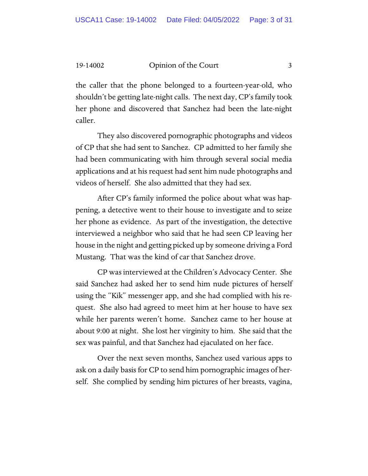the caller that the phone belonged to a fourteen-year-old, who shouldn't be getting late-night calls. The next day, CP's family took her phone and discovered that Sanchez had been the late-night caller.

They also discovered pornographic photographs and videos of CP that she had sent to Sanchez. CP admitted to her family she had been communicating with him through several social media applications and at his request had sent him nude photographs and videos of herself. She also admitted that they had sex.

After CP's family informed the police about what was happening, a detective went to their house to investigate and to seize her phone as evidence. As part of the investigation, the detective interviewed a neighbor who said that he had seen CP leaving her house in the night and getting picked up by someone driving a Ford Mustang. That was the kind of car that Sanchez drove.

CP was interviewed at the Children's Advocacy Center. She said Sanchez had asked her to send him nude pictures of herself using the "Kik" messenger app, and she had complied with his request. She also had agreed to meet him at her house to have sex while her parents weren't home. Sanchez came to her house at about 9:00 at night. She lost her virginity to him. She said that the sex was painful, and that Sanchez had ejaculated on her face.

Over the next seven months, Sanchez used various apps to ask on a daily basis for CP to send him pornographic images of herself. She complied by sending him pictures of her breasts, vagina,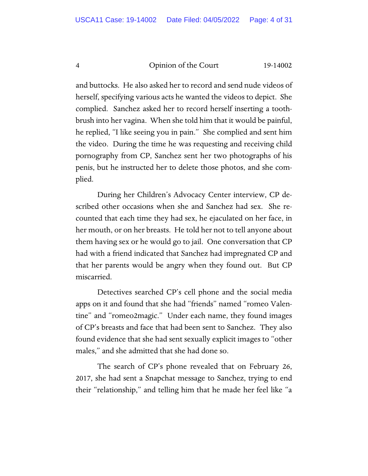and buttocks. He also asked her to record and send nude videos of herself, specifying various acts he wanted the videos to depict. She complied. Sanchez asked her to record herself inserting a toothbrush into her vagina. When she told him that it would be painful, he replied, "I like seeing you in pain." She complied and sent him the video. During the time he was requesting and receiving child pornography from CP, Sanchez sent her two photographs of his penis, but he instructed her to delete those photos, and she complied.

During her Children's Advocacy Center interview, CP described other occasions when she and Sanchez had sex. She recounted that each time they had sex, he ejaculated on her face, in her mouth, or on her breasts. He told her not to tell anyone about them having sex or he would go to jail. One conversation that CP had with a friend indicated that Sanchez had impregnated CP and that her parents would be angry when they found out. But CP miscarried.

Detectives searched CP's cell phone and the social media apps on it and found that she had "friends" named "romeo Valentine" and "romeo2magic." Under each name, they found images of CP's breasts and face that had been sent to Sanchez. They also found evidence that she had sent sexually explicit images to "other males," and she admitted that she had done so.

The search of CP's phone revealed that on February 26, 2017, she had sent a Snapchat message to Sanchez, trying to end their "relationship," and telling him that he made her feel like "a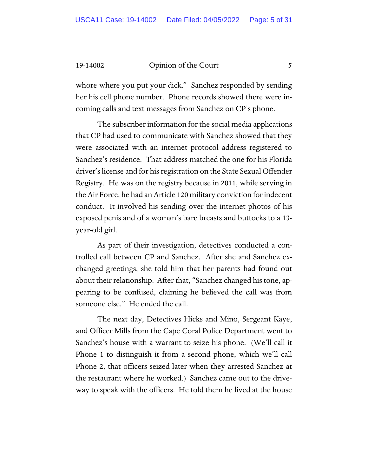whore where you put your dick." Sanchez responded by sending her his cell phone number. Phone records showed there were incoming calls and text messages from Sanchez on CP's phone.

The subscriber information for the social media applications that CP had used to communicate with Sanchez showed that they were associated with an internet protocol address registered to Sanchez's residence. That address matched the one for his Florida driver's license and for his registration on the State Sexual Offender Registry. He was on the registry because in 2011, while serving in the Air Force, he had an Article 120 military conviction for indecent conduct. It involved his sending over the internet photos of his exposed penis and of a woman's bare breasts and buttocks to a 13 year-old girl.

As part of their investigation, detectives conducted a controlled call between CP and Sanchez. After she and Sanchez exchanged greetings, she told him that her parents had found out about their relationship. After that, "Sanchez changed his tone, appearing to be confused, claiming he believed the call was from someone else." He ended the call.

The next day, Detectives Hicks and Mino, Sergeant Kaye, and Officer Mills from the Cape Coral Police Department went to Sanchez's house with a warrant to seize his phone. (We'll call it Phone 1 to distinguish it from a second phone, which we'll call Phone 2, that officers seized later when they arrested Sanchez at the restaurant where he worked.) Sanchez came out to the driveway to speak with the officers. He told them he lived at the house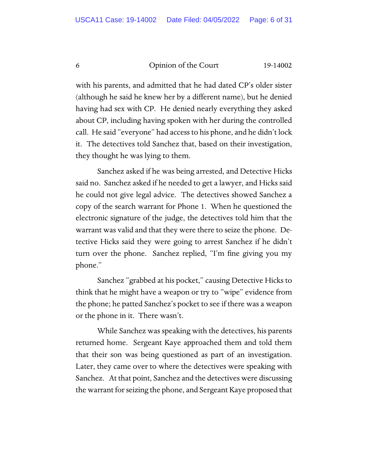with his parents, and admitted that he had dated CP's older sister (although he said he knew her by a different name), but he denied having had sex with CP. He denied nearly everything they asked about CP, including having spoken with her during the controlled call. He said "everyone" had access to his phone, and he didn't lock it. The detectives told Sanchez that, based on their investigation, they thought he was lying to them.

Sanchez asked if he was being arrested, and Detective Hicks said no. Sanchez asked if he needed to get a lawyer, and Hicks said he could not give legal advice. The detectives showed Sanchez a copy of the search warrant for Phone 1. When he questioned the electronic signature of the judge, the detectives told him that the warrant was valid and that they were there to seize the phone. Detective Hicks said they were going to arrest Sanchez if he didn't turn over the phone. Sanchez replied, "I'm fine giving you my phone."

Sanchez "grabbed at his pocket," causing Detective Hicks to think that he might have a weapon or try to "wipe" evidence from the phone; he patted Sanchez's pocket to see if there was a weapon or the phone in it. There wasn't.

While Sanchez was speaking with the detectives, his parents returned home. Sergeant Kaye approached them and told them that their son was being questioned as part of an investigation. Later, they came over to where the detectives were speaking with Sanchez. At that point, Sanchez and the detectives were discussing the warrant for seizing the phone, and Sergeant Kaye proposed that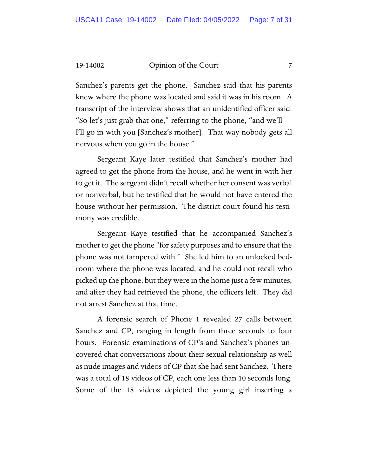Sanchez's parents get the phone. Sanchez said that his parents knew where the phone was located and said it was in his room. A transcript of the interview shows that an unidentified officer said: "So let's just grab that one," referring to the phone, "and we'll  $-$ I'll go in with you [Sanchez's mother]. That way nobody gets all nervous when you go in the house."

Sergeant Kaye later testified that Sanchez's mother had agreed to get the phone from the house, and he went in with her to get it. The sergeant didn't recall whether her consent was verbal or nonverbal, but he testified that he would not have entered the house without her permission. The district court found his testimony was credible.

Sergeant Kaye testified that he accompanied Sanchez's mother to get the phone "for safety purposes and to ensure that the phone was not tampered with." She led him to an unlocked bedroom where the phone was located, and he could not recall who picked up the phone, but they were in the home just a few minutes, and after they had retrieved the phone, the officers left. They did not arrest Sanchez at that time.

A forensic search of Phone 1 revealed 27 calls between Sanchez and CP, ranging in length from three seconds to four hours. Forensic examinations of CP's and Sanchez's phones uncovered chat conversations about their sexual relationship as well as nude images and videos of CP that she had sent Sanchez. There was a total of 18 videos of CP, each one less than 10 seconds long. Some of the 18 videos depicted the young girl inserting a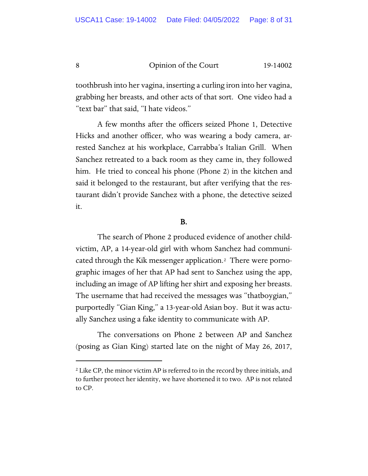toothbrush into her vagina, inserting a curling iron into her vagina, grabbing her breasts, and other acts of that sort. One video had a "text bar" that said, "I hate videos."

A few months after the officers seized Phone 1, Detective Hicks and another officer, who was wearing a body camera, arrested Sanchez at his workplace, Carrabba's Italian Grill. When Sanchez retreated to a back room as they came in, they followed him. He tried to conceal his phone (Phone 2) in the kitchen and said it belonged to the restaurant, but after verifying that the restaurant didn't provide Sanchez with a phone, the detective seized it.

#### B.

The search of Phone 2 produced evidence of another childvictim, AP, a 14-year-old girl with whom Sanchez had communicated through the Kik messenger application.[2](#page-7-0) There were pornographic images of her that AP had sent to Sanchez using the app, including an image of AP lifting her shirt and exposing her breasts. The username that had received the messages was "thatboygian," purportedly "Gian King," a 13-year-old Asian boy. But it was actually Sanchez using a fake identity to communicate with AP.

The conversations on Phone 2 between AP and Sanchez (posing as Gian King) started late on the night of May 26, 2017,

<span id="page-7-0"></span><sup>&</sup>lt;sup>2</sup> Like CP, the minor victim AP is referred to in the record by three initials, and to further protect her identity, we have shortened it to two. AP is not related to CP.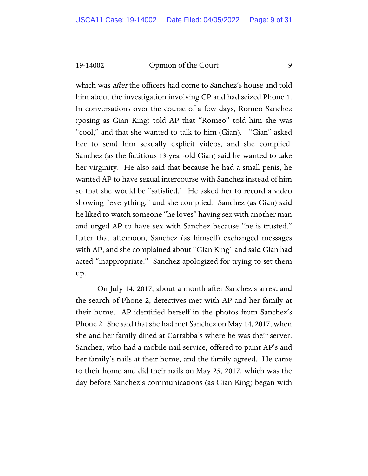which was *after* the officers had come to Sanchez's house and told him about the investigation involving CP and had seized Phone 1. In conversations over the course of a few days, Romeo Sanchez (posing as Gian King) told AP that "Romeo" told him she was "cool," and that she wanted to talk to him (Gian). "Gian" asked her to send him sexually explicit videos, and she complied. Sanchez (as the fictitious 13-year-old Gian) said he wanted to take her virginity. He also said that because he had a small penis, he wanted AP to have sexual intercourse with Sanchez instead of him so that she would be "satisfied." He asked her to record a video showing "everything," and she complied. Sanchez (as Gian) said he liked to watch someone "he loves" having sex with another man and urged AP to have sex with Sanchez because "he is trusted." Later that afternoon, Sanchez (as himself) exchanged messages with AP, and she complained about "Gian King" and said Gian had acted "inappropriate." Sanchez apologized for trying to set them up.

On July 14, 2017, about a month after Sanchez's arrest and the search of Phone 2, detectives met with AP and her family at their home. AP identified herself in the photos from Sanchez's Phone 2. She said that she had met Sanchez on May 14, 2017, when she and her family dined at Carrabba's where he was their server. Sanchez, who had a mobile nail service, offered to paint AP's and her family's nails at their home, and the family agreed. He came to their home and did their nails on May 25, 2017, which was the day before Sanchez's communications (as Gian King) began with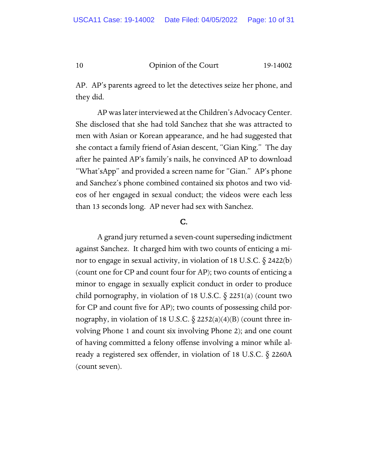AP. AP's parents agreed to let the detectives seize her phone, and they did.

AP was later interviewed at the Children's Advocacy Center. She disclosed that she had told Sanchez that she was attracted to men with Asian or Korean appearance, and he had suggested that she contact a family friend of Asian descent, "Gian King." The day after he painted AP's family's nails, he convinced AP to download "What'sApp" and provided a screen name for "Gian." AP's phone and Sanchez's phone combined contained six photos and two videos of her engaged in sexual conduct; the videos were each less than 13 seconds long. AP never had sex with Sanchez.

# C.

A grand jury returned a seven-count superseding indictment against Sanchez. It charged him with two counts of enticing a minor to engage in sexual activity, in violation of 18 U.S.C.  $\S$  2422(b) (count one for CP and count four for AP); two counts of enticing a minor to engage in sexually explicit conduct in order to produce child pornography, in violation of 18 U.S.C. § 2251(a) (count two for CP and count five for AP); two counts of possessing child pornography, in violation of 18 U.S.C.  $\S$  2252(a)(4)(B) (count three involving Phone 1 and count six involving Phone 2); and one count of having committed a felony offense involving a minor while already a registered sex offender, in violation of 18 U.S.C. § 2260A (count seven).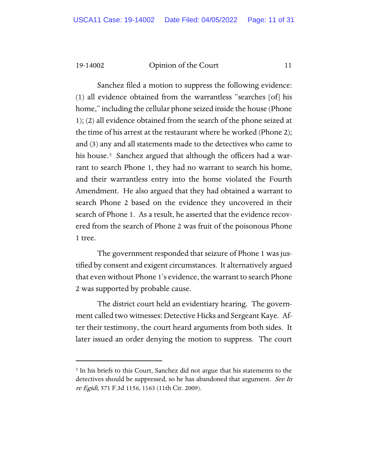Sanchez filed a motion to suppress the following evidence: (1) all evidence obtained from the warrantless "searches [of] his home," including the cellular phone seized inside the house (Phone 1); (2) all evidence obtained from the search of the phone seized at the time of his arrest at the restaurant where he worked (Phone 2); and (3) any and all statements made to the detectives who came to his house.<sup>3</sup> Sanchez argued that although the officers had a warrant to search Phone 1, they had no warrant to search his home, and their warrantless entry into the home violated the Fourth Amendment. He also argued that they had obtained a warrant to search Phone 2 based on the evidence they uncovered in their search of Phone 1. As a result, he asserted that the evidence recovered from the search of Phone 2 was fruit of the poisonous Phone 1 tree.

The government responded that seizure of Phone 1 was justified by consent and exigent circumstances. It alternatively argued that even without Phone 1's evidence, the warrant to search Phone 2 was supported by probable cause.

The district court held an evidentiary hearing. The government called two witnesses: Detective Hicks and Sergeant Kaye. After their testimony, the court heard arguments from both sides. It later issued an order denying the motion to suppress. The court

<span id="page-10-0"></span><sup>&</sup>lt;sup>3</sup> In his briefs to this Court, Sanchez did not argue that his statements to the detectives should be suppressed, so he has abandoned that argument. See In re Egidi, 571 F.3d 1156, 1163 (11th Cir. 2009).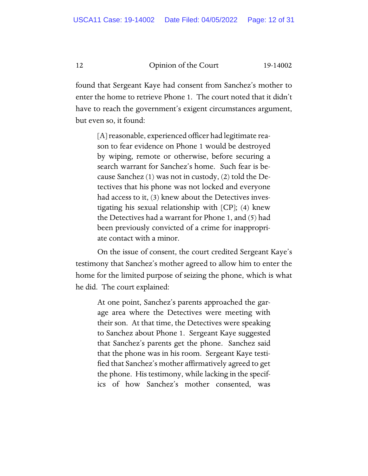found that Sergeant Kaye had consent from Sanchez's mother to enter the home to retrieve Phone 1. The court noted that it didn't have to reach the government's exigent circumstances argument, but even so, it found:

> [A] reasonable, experienced officer had legitimate reason to fear evidence on Phone 1 would be destroyed by wiping, remote or otherwise, before securing a search warrant for Sanchez's home. Such fear is because Sanchez (1) was not in custody, (2) told the Detectives that his phone was not locked and everyone had access to it, (3) knew about the Detectives investigating his sexual relationship with [CP]; (4) knew the Detectives had a warrant for Phone 1, and (5) had been previously convicted of a crime for inappropriate contact with a minor.

On the issue of consent, the court credited Sergeant Kaye's testimony that Sanchez's mother agreed to allow him to enter the home for the limited purpose of seizing the phone, which is what he did. The court explained:

> At one point, Sanchez's parents approached the garage area where the Detectives were meeting with their son. At that time, the Detectives were speaking to Sanchez about Phone 1. Sergeant Kaye suggested that Sanchez's parents get the phone. Sanchez said that the phone was in his room. Sergeant Kaye testified that Sanchez's mother affirmatively agreed to get the phone. His testimony, while lacking in the specifics of how Sanchez's mother consented, was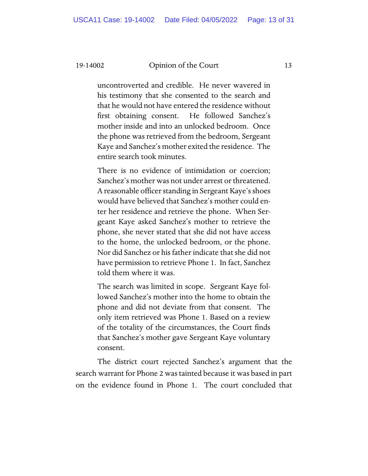uncontroverted and credible. He never wavered in his testimony that she consented to the search and that he would not have entered the residence without first obtaining consent. He followed Sanchez's mother inside and into an unlocked bedroom. Once the phone was retrieved from the bedroom, Sergeant Kaye and Sanchez's mother exited the residence. The entire search took minutes.

There is no evidence of intimidation or coercion; Sanchez's mother was not under arrest or threatened. A reasonable officer standing in Sergeant Kaye's shoes would have believed that Sanchez's mother could enter her residence and retrieve the phone. When Sergeant Kaye asked Sanchez's mother to retrieve the phone, she never stated that she did not have access to the home, the unlocked bedroom, or the phone. Nor did Sanchez or his father indicate that she did not have permission to retrieve Phone 1. In fact, Sanchez told them where it was.

The search was limited in scope. Sergeant Kaye followed Sanchez's mother into the home to obtain the phone and did not deviate from that consent. The only item retrieved was Phone 1. Based on a review of the totality of the circumstances, the Court finds that Sanchez's mother gave Sergeant Kaye voluntary consent.

The district court rejected Sanchez's argument that the search warrant for Phone 2 was tainted because it was based in part on the evidence found in Phone 1. The court concluded that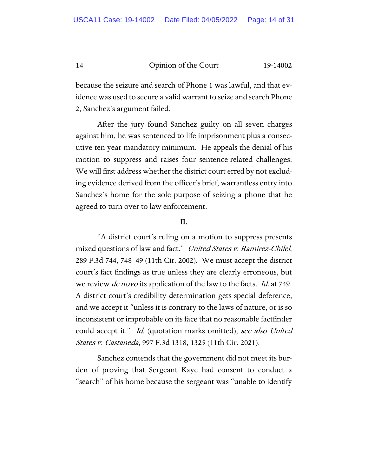because the seizure and search of Phone 1 was lawful, and that evidence was used to secure a valid warrant to seize and search Phone 2, Sanchez's argument failed.

After the jury found Sanchez guilty on all seven charges against him, he was sentenced to life imprisonment plus a consecutive ten-year mandatory minimum. He appeals the denial of his motion to suppress and raises four sentence-related challenges. We will first address whether the district court erred by not excluding evidence derived from the officer's brief, warrantless entry into Sanchez's home for the sole purpose of seizing a phone that he agreed to turn over to law enforcement.

# II.

"A district court's ruling on a motion to suppress presents mixed questions of law and fact." United States v. Ramirez-Chilel, 289 F.3d 744, 748–49 (11th Cir. 2002). We must accept the district court's fact findings as true unless they are clearly erroneous, but we review *de novo* its application of the law to the facts. *Id.* at 749. A district court's credibility determination gets special deference, and we accept it "unless it is contrary to the laws of nature, or is so inconsistent or improbable on its face that no reasonable factfinder could accept it." Id. (quotation marks omitted); see also United States v. Castaneda, 997 F.3d 1318, 1325 (11th Cir. 2021).

Sanchez contends that the government did not meet its burden of proving that Sergeant Kaye had consent to conduct a "search" of his home because the sergeant was "unable to identify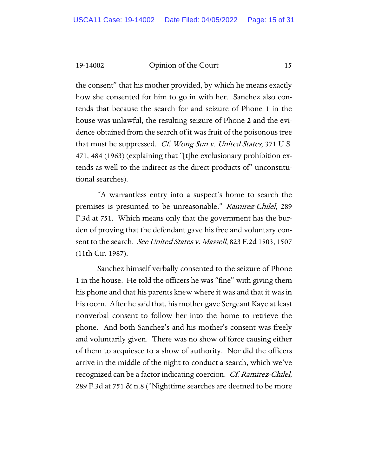the consent" that his mother provided, by which he means exactly how she consented for him to go in with her. Sanchez also contends that because the search for and seizure of Phone 1 in the house was unlawful, the resulting seizure of Phone 2 and the evidence obtained from the search of it was fruit of the poisonous tree that must be suppressed. Cf. Wong Sun v. United States, 371 U.S. 471, 484 (1963) (explaining that "[t]he exclusionary prohibition extends as well to the indirect as the direct products of" unconstitutional searches).

"A warrantless entry into a suspect's home to search the premises is presumed to be unreasonable." Ramirez-Chilel, 289 F.3d at 751. Which means only that the government has the burden of proving that the defendant gave his free and voluntary consent to the search. See United States v. Massell, 823 F.2d 1503, 1507 (11th Cir. 1987).

Sanchez himself verbally consented to the seizure of Phone 1 in the house. He told the officers he was "fine" with giving them his phone and that his parents knew where it was and that it was in his room. After he said that, his mother gave Sergeant Kaye at least nonverbal consent to follow her into the home to retrieve the phone. And both Sanchez's and his mother's consent was freely and voluntarily given. There was no show of force causing either of them to acquiesce to a show of authority. Nor did the officers arrive in the middle of the night to conduct a search, which we've recognized can be a factor indicating coercion. Cf. Ramirez-Chilel, 289 F.3d at 751 & n.8 ("Nighttime searches are deemed to be more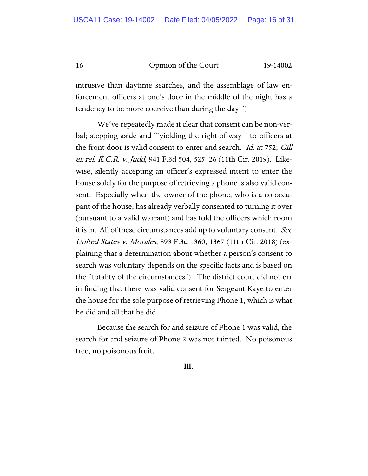intrusive than daytime searches, and the assemblage of law enforcement officers at one's door in the middle of the night has a tendency to be more coercive than during the day.")

We've repeatedly made it clear that consent can be non-verbal; stepping aside and "'yielding the right-of-way'" to officers at the front door is valid consent to enter and search. *Id.* at 752; *Gill* ex rel. K.C.R. v. Judd, 941 F.3d 504, 525–26 (11th Cir. 2019). Likewise, silently accepting an officer's expressed intent to enter the house solely for the purpose of retrieving a phone is also valid consent. Especially when the owner of the phone, who is a co-occupant of the house, has already verbally consented to turning it over (pursuant to a valid warrant) and has told the officers which room it is in. All of these circumstances add up to voluntary consent. See United States v. Morales, 893 F.3d 1360, 1367 (11th Cir. 2018) (explaining that a determination about whether a person's consent to search was voluntary depends on the specific facts and is based on the "totality of the circumstances"). The district court did not err in finding that there was valid consent for Sergeant Kaye to enter the house for the sole purpose of retrieving Phone 1, which is what he did and all that he did.

Because the search for and seizure of Phone 1 was valid, the search for and seizure of Phone 2 was not tainted. No poisonous tree, no poisonous fruit.

III.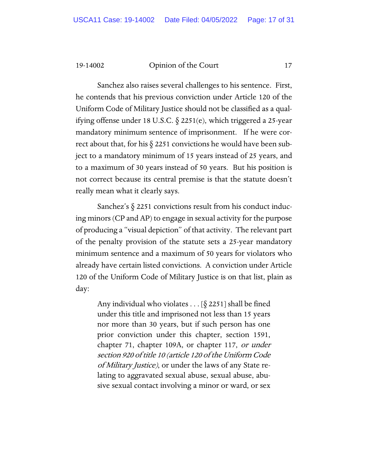Sanchez also raises several challenges to his sentence. First, he contends that his previous conviction under Article 120 of the Uniform Code of Military Justice should not be classified as a qualifying offense under 18 U.S.C. § 2251(e), which triggered a 25-year mandatory minimum sentence of imprisonment. If he were correct about that, for his § 2251 convictions he would have been subject to a mandatory minimum of 15 years instead of 25 years, and to a maximum of 30 years instead of 50 years. But his position is not correct because its central premise is that the statute doesn't really mean what it clearly says.

Sanchez's  $\S$  2251 convictions result from his conduct inducing minors (CP and AP) to engage in sexual activity for the purpose of producing a "visual depiction" of that activity. The relevant part of the penalty provision of the statute sets a 25-year mandatory minimum sentence and a maximum of 50 years for violators who already have certain listed convictions. A conviction under Article 120 of the Uniform Code of Military Justice is on that list, plain as day:

Any individual who violates . . . [§ 2251] shall be fined under this title and imprisoned not less than 15 years nor more than 30 years, but if such person has one prior conviction under this chapter, section 1591, chapter 71, chapter 109A, or chapter 117, or under section 920 of title 10 (article 120 of the Uniform Code of Military Justice), or under the laws of any State relating to aggravated sexual abuse, sexual abuse, abusive sexual contact involving a minor or ward, or sex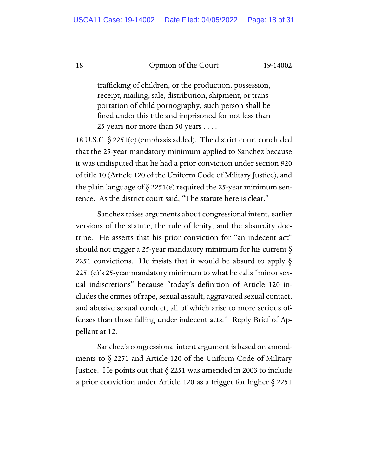trafficking of children, or the production, possession, receipt, mailing, sale, distribution, shipment, or transportation of child pornography, such person shall be fined under this title and imprisoned for not less than 25 years nor more than 50 years . . . .

18 U.S.C. § 2251(e) (emphasis added). The district court concluded that the 25-year mandatory minimum applied to Sanchez because it was undisputed that he had a prior conviction under section 920 of title 10 (Article 120 of the Uniform Code of Military Justice), and the plain language of  $\S 2251(e)$  required the 25-year minimum sentence. As the district court said, "The statute here is clear."

Sanchez raises arguments about congressional intent, earlier versions of the statute, the rule of lenity, and the absurdity doctrine. He asserts that his prior conviction for "an indecent act" should not trigger a 25-year mandatory minimum for his current § 2251 convictions. He insists that it would be absurd to apply  $\S$ 2251(e)'s 25-year mandatory minimum to what he calls "minor sexual indiscretions" because "today's definition of Article 120 includes the crimes of rape, sexual assault, aggravated sexual contact, and abusive sexual conduct, all of which arise to more serious offenses than those falling under indecent acts." Reply Brief of Appellant at 12.

Sanchez's congressional intent argument is based on amendments to § 2251 and Article 120 of the Uniform Code of Military Justice. He points out that  $\S$  2251 was amended in 2003 to include a prior conviction under Article 120 as a trigger for higher § 2251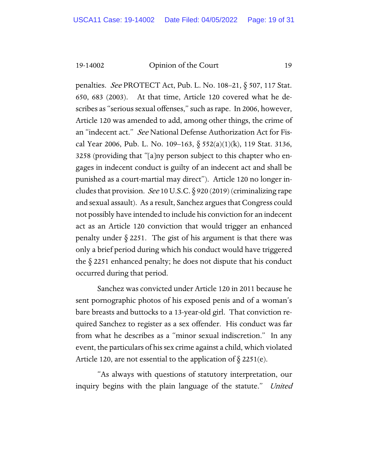penalties. *See* PROTECT Act, Pub. L. No. 108–21, § 507, 117 Stat. 650, 683 (2003). At that time, Article 120 covered what he describes as "serious sexual offenses," such as rape. In 2006, however, Article 120 was amended to add, among other things, the crime of an "indecent act." See National Defense Authorization Act for Fiscal Year 2006, Pub. L. No. 109–163,  $\S 552(a)(1)(k)$ , 119 Stat. 3136, 3258 (providing that "[a]ny person subject to this chapter who engages in indecent conduct is guilty of an indecent act and shall be punished as a court-martial may direct"). Article 120 no longer includes that provision. See 10 U.S.C.  $\S$  920 (2019) (criminalizing rape and sexual assault). As a result, Sanchez argues that Congress could not possibly have intended to include his conviction for an indecent act as an Article 120 conviction that would trigger an enhanced penalty under  $\S 2251$ . The gist of his argument is that there was only a brief period during which his conduct would have triggered the § 2251 enhanced penalty; he does not dispute that his conduct occurred during that period.

Sanchez was convicted under Article 120 in 2011 because he sent pornographic photos of his exposed penis and of a woman's bare breasts and buttocks to a 13-year-old girl. That conviction required Sanchez to register as a sex offender. His conduct was far from what he describes as a "minor sexual indiscretion." In any event, the particulars of his sex crime against a child, which violated Article 120, are not essential to the application of  $\S$  2251(e).

"As always with questions of statutory interpretation, our inquiry begins with the plain language of the statute." United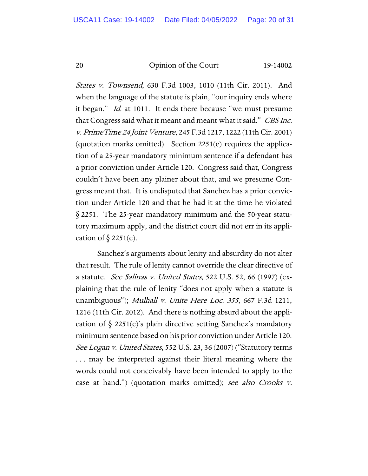States v. Townsend, 630 F.3d 1003, 1010 (11th Cir. 2011). And when the language of the statute is plain, "our inquiry ends where it began." Id. at 1011. It ends there because "we must presume that Congress said what it meant and meant what it said." CBS Inc. v. PrimeTime 24 Joint Venture, 245 F.3d 1217, 1222 (11th Cir. 2001) (quotation marks omitted). Section 2251(e) requires the application of a 25-year mandatory minimum sentence if a defendant has a prior conviction under Article 120. Congress said that, Congress couldn't have been any plainer about that, and we presume Congress meant that. It is undisputed that Sanchez has a prior conviction under Article 120 and that he had it at the time he violated § 2251. The 25-year mandatory minimum and the 50-year statutory maximum apply, and the district court did not err in its application of  $\S$  2251(e).

Sanchez's arguments about lenity and absurdity do not alter that result. The rule of lenity cannot override the clear directive of a statute. *See Salinas v. United States*, 522 U.S. 52, 66 (1997) (explaining that the rule of lenity "does not apply when a statute is unambiguous"); *Mulhall v. Unite Here Loc. 355*, 667 F.3d 1211, 1216 (11th Cir. 2012). And there is nothing absurd about the application of  $\S$  2251(e)'s plain directive setting Sanchez's mandatory minimum sentence based on his prior conviction under Article 120. See Logan v. United States, 552 U.S. 23, 36 (2007) ("Statutory terms . . . may be interpreted against their literal meaning where the words could not conceivably have been intended to apply to the case at hand.") (quotation marks omitted); see also Crooks v.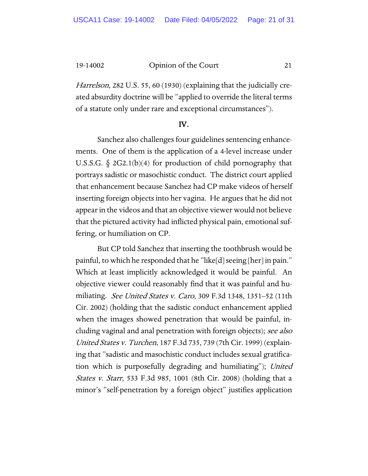Harrelson, 282 U.S. 55, 60 (1930) (explaining that the judicially created absurdity doctrine will be "applied to override the literal terms of a statute only under rare and exceptional circumstances").

#### IV.

Sanchez also challenges four guidelines sentencing enhancements. One of them is the application of a 4-level increase under U.S.S.G. § 2G2.1(b)(4) for production of child pornography that portrays sadistic or masochistic conduct. The district court applied that enhancement because Sanchez had CP make videos of herself inserting foreign objects into her vagina. He argues that he did not appear in the videos and that an objective viewer would not believe that the pictured activity had inflicted physical pain, emotional suffering, or humiliation on CP.

But CP told Sanchez that inserting the toothbrush would be painful, to which he responded that he "like[d] seeing [her] in pain." Which at least implicitly acknowledged it would be painful. An objective viewer could reasonably find that it was painful and humiliating. See United States v. Caro, 309 F.3d 1348, 1351–52 (11th Cir. 2002) (holding that the sadistic conduct enhancement applied when the images showed penetration that would be painful, including vaginal and anal penetration with foreign objects); see also United States v. Turchen, 187 F.3d 735, 739 (7th Cir. 1999) (explaining that "sadistic and masochistic conduct includes sexual gratification which is purposefully degrading and humiliating"); United States v. Starr, 533 F.3d 985, 1001 (8th Cir. 2008) (holding that a minor's "self-penetration by a foreign object" justifies application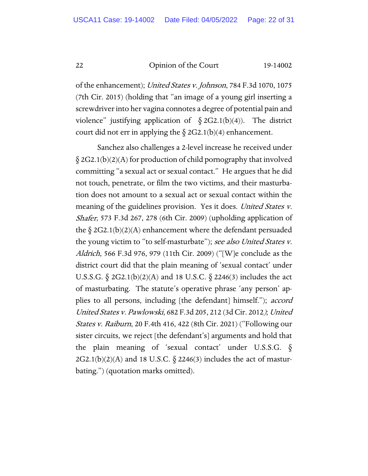of the enhancement); United States v. Johnson, 784 F.3d 1070, 1075 (7th Cir. 2015) (holding that "an image of a young girl inserting a screwdriver into her vagina connotes a degree of potential pain and violence" justifying application of  $\S 2G2.1(b)(4)$ . The district court did not err in applying the  $\S 2G2.1(b)(4)$  enhancement.

Sanchez also challenges a 2-level increase he received under § 2G2.1(b)(2)(A) for production of child pornography that involved committing "a sexual act or sexual contact." He argues that he did not touch, penetrate, or film the two victims, and their masturbation does not amount to a sexual act or sexual contact within the meaning of the guidelines provision. Yes it does. United States v. Shafer, 573 F.3d 267, 278 (6th Cir. 2009) (upholding application of the  $\S 2G2.1(b)(2)(A)$  enhancement where the defendant persuaded the young victim to "to self-masturbate"); see also United States v. Aldrich, 566 F.3d 976, 979 (11th Cir. 2009) ("[W]e conclude as the district court did that the plain meaning of 'sexual contact' under U.S.S.G. § 2G2.1(b)(2)(A) and 18 U.S.C. § 2246(3) includes the act of masturbating. The statute's operative phrase 'any person' applies to all persons, including [the defendant] himself."); accord United States v. Pawlowski, 682 F.3d 205, 212 (3d Cir. 2012); United States v. Raiburn, 20 F.4th 416, 422 (8th Cir. 2021) ("Following our sister circuits, we reject [the defendant's] arguments and hold that the plain meaning of 'sexual contact' under U.S.S.G.  $\delta$  $2G2.1(b)(2)(A)$  and 18 U.S.C.  $\S$  2246(3) includes the act of masturbating.") (quotation marks omitted).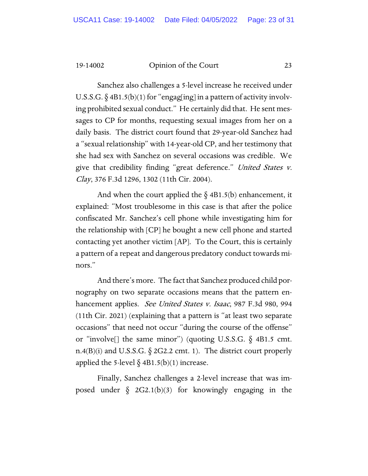Sanchez also challenges a 5-level increase he received under U.S.S.G.  $\S$  4B1.5(b)(1) for "engag[ing] in a pattern of activity involving prohibited sexual conduct." He certainly did that. He sent messages to CP for months, requesting sexual images from her on a daily basis. The district court found that 29-year-old Sanchez had a "sexual relationship" with 14-year-old CP, and her testimony that she had sex with Sanchez on several occasions was credible. We give that credibility finding "great deference." United States v. Clay, 376 F.3d 1296, 1302 (11th Cir. 2004).

And when the court applied the  $\S$  4B1.5(b) enhancement, it explained: "Most troublesome in this case is that after the police confiscated Mr. Sanchez's cell phone while investigating him for the relationship with [CP] he bought a new cell phone and started contacting yet another victim [AP]. To the Court, this is certainly a pattern of a repeat and dangerous predatory conduct towards minors."

And there's more. The fact that Sanchez produced child pornography on two separate occasions means that the pattern enhancement applies. *See United States v. Isaac*, 987 F.3d 980, 994 (11th Cir. 2021) (explaining that a pattern is "at least two separate occasions" that need not occur "during the course of the offense" or "involve[] the same minor") (quoting U.S.S.G.  $\S$  4B1.5 cmt. n.4(B)(i) and U.S.S.G.  $\S$  2G2.2 cmt. 1). The district court properly applied the 5-level  $\S$  4B1.5(b)(1) increase.

Finally, Sanchez challenges a 2-level increase that was imposed under  $\S$  2G2.1(b)(3) for knowingly engaging in the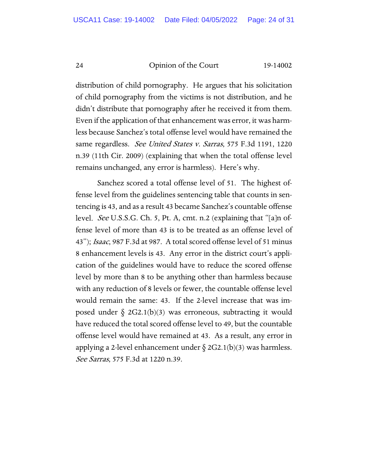distribution of child pornography. He argues that his solicitation of child pornography from the victims is not distribution, and he didn't distribute that pornography after he received it from them. Even if the application of that enhancement was error, it was harmless because Sanchez's total offense level would have remained the same regardless. See United States v. Sarras, 575 F.3d 1191, 1220 n.39 (11th Cir. 2009) (explaining that when the total offense level remains unchanged, any error is harmless). Here's why.

Sanchez scored a total offense level of 51. The highest offense level from the guidelines sentencing table that counts in sentencing is 43, and as a result 43 became Sanchez's countable offense level. See U.S.S.G. Ch. 5, Pt. A, cmt. n.2 (explaining that "[a]n offense level of more than 43 is to be treated as an offense level of 43"); Isaac, 987 F.3d at 987. A total scored offense level of 51 minus 8 enhancement levels is 43. Any error in the district court's application of the guidelines would have to reduce the scored offense level by more than 8 to be anything other than harmless because with any reduction of 8 levels or fewer, the countable offense level would remain the same: 43. If the 2-level increase that was imposed under  $\S$  2G2.1(b)(3) was erroneous, subtracting it would have reduced the total scored offense level to 49, but the countable offense level would have remained at 43. As a result, any error in applying a 2-level enhancement under  $\delta$  2G2.1(b)(3) was harmless. See Sarras, 575 F.3d at 1220 n.39.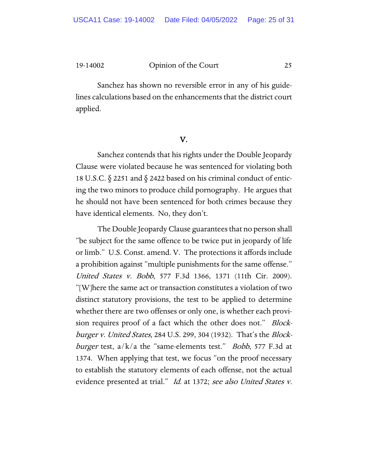Sanchez has shown no reversible error in any of his guidelines calculations based on the enhancements that the district court applied.

### V.

Sanchez contends that his rights under the Double Jeopardy Clause were violated because he was sentenced for violating both 18 U.S.C. § 2251 and § 2422 based on his criminal conduct of enticing the two minors to produce child pornography. He argues that he should not have been sentenced for both crimes because they have identical elements. No, they don't.

The Double Jeopardy Clause guarantees that no person shall "be subject for the same offence to be twice put in jeopardy of life or limb." U.S. Const. amend. V. The protections it affords include a prohibition against "multiple punishments for the same offense." United States v. Bobb, 577 F.3d 1366, 1371 (11th Cir. 2009). "[W]here the same act or transaction constitutes a violation of two distinct statutory provisions, the test to be applied to determine whether there are two offenses or only one, is whether each provision requires proof of a fact which the other does not." *Block*burger v. United States, 284 U.S. 299, 304 (1932). That's the Block*burger* test,  $a/k/a$  the "same-elements test." *Bobb*, 577 F.3d at 1374. When applying that test, we focus "on the proof necessary to establish the statutory elements of each offense, not the actual evidence presented at trial." Id. at 1372; see also United States v.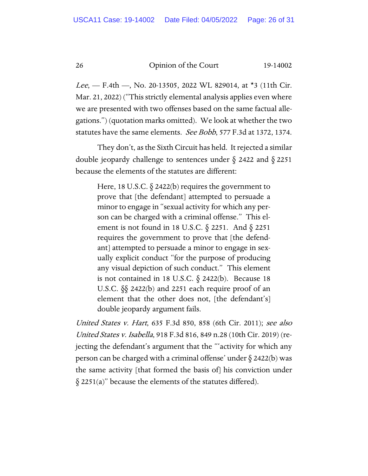*Lee*,  $-$  F.4th  $-$ , No. 20-13505, 2022 WL 829014, at  $*$ 3 (11th Cir. Mar. 21, 2022) ("This strictly elemental analysis applies even where we are presented with two offenses based on the same factual allegations.") (quotation marks omitted). We look at whether the two statutes have the same elements. See Bobb, 577 F.3d at 1372, 1374.

They don't, as the Sixth Circuit has held. It rejected a similar double jeopardy challenge to sentences under § 2422 and § 2251 because the elements of the statutes are different:

> Here, 18 U.S.C.  $\S$  2422(b) requires the government to prove that [the defendant] attempted to persuade a minor to engage in "sexual activity for which any person can be charged with a criminal offense." This element is not found in 18 U.S.C.  $\S$  2251. And  $\S$  2251 requires the government to prove that [the defendant] attempted to persuade a minor to engage in sexually explicit conduct "for the purpose of producing any visual depiction of such conduct." This element is not contained in 18 U.S.C.  $\S$  2422(b). Because 18 U.S.C. §§ 2422(b) and 2251 each require proof of an element that the other does not, [the defendant's] double jeopardy argument fails.

United States v. Hart, 635 F.3d 850, 858 (6th Cir. 2011); see also United States v. Isabella, 918 F.3d 816, 849 n.28 (10th Cir. 2019) (rejecting the defendant's argument that the "'activity for which any person can be charged with a criminal offense' under  $\S$  2422(b) was the same activity [that formed the basis of] his conviction under  $\S$  2251(a)" because the elements of the statutes differed).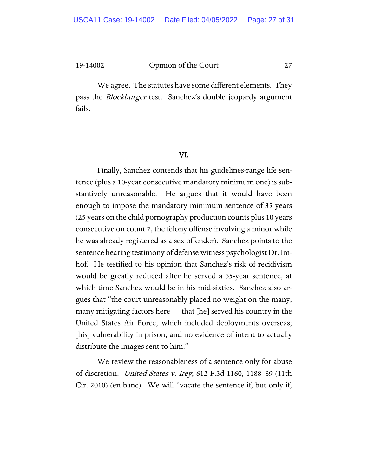We agree. The statutes have some different elements. They pass the *Blockburger* test. Sanchez's double jeopardy argument fails.

#### VI.

Finally, Sanchez contends that his guidelines-range life sentence (plus a 10-year consecutive mandatory minimum one) is substantively unreasonable. He argues that it would have been enough to impose the mandatory minimum sentence of 35 years (25 years on the child pornography production counts plus 10 years consecutive on count 7, the felony offense involving a minor while he was already registered as a sex offender). Sanchez points to the sentence hearing testimony of defense witness psychologist Dr. Imhof. He testified to his opinion that Sanchez's risk of recidivism would be greatly reduced after he served a 35-year sentence, at which time Sanchez would be in his mid-sixties. Sanchez also argues that "the court unreasonably placed no weight on the many, many mitigating factors here — that [he] served his country in the United States Air Force, which included deployments overseas; [his] vulnerability in prison; and no evidence of intent to actually distribute the images sent to him."

We review the reasonableness of a sentence only for abuse of discretion. United States v. Irey, 612 F.3d 1160, 1188–89 (11th Cir. 2010) (en banc). We will "vacate the sentence if, but only if,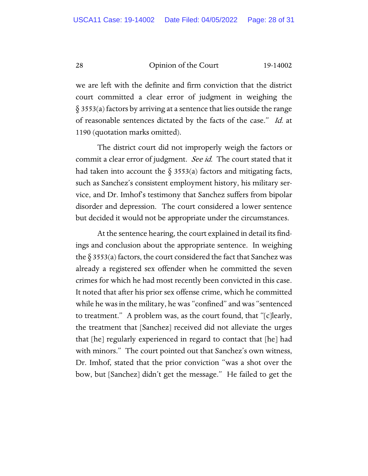we are left with the definite and firm conviction that the district court committed a clear error of judgment in weighing the § 3553(a) factors by arriving at a sentence that lies outside the range of reasonable sentences dictated by the facts of the case." Id. at 1190 (quotation marks omitted).

The district court did not improperly weigh the factors or commit a clear error of judgment. See id. The court stated that it had taken into account the  $\S$  3553(a) factors and mitigating facts, such as Sanchez's consistent employment history, his military service, and Dr. Imhof's testimony that Sanchez suffers from bipolar disorder and depression. The court considered a lower sentence but decided it would not be appropriate under the circumstances.

At the sentence hearing, the court explained in detail its findings and conclusion about the appropriate sentence. In weighing the  $\S 3553(a)$  factors, the court considered the fact that Sanchez was already a registered sex offender when he committed the seven crimes for which he had most recently been convicted in this case. It noted that after his prior sex offense crime, which he committed while he was in the military, he was "confined" and was "sentenced to treatment." A problem was, as the court found, that "[c]learly, the treatment that [Sanchez] received did not alleviate the urges that [he] regularly experienced in regard to contact that [he] had with minors." The court pointed out that Sanchez's own witness, Dr. Imhof, stated that the prior conviction "was a shot over the bow, but [Sanchez] didn't get the message." He failed to get the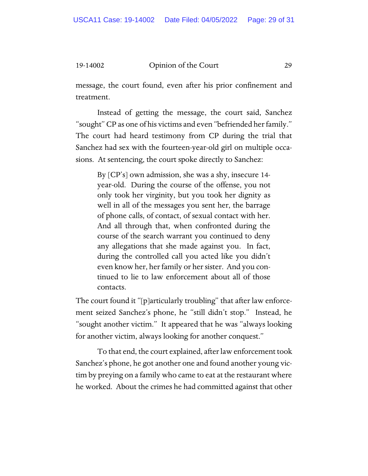message, the court found, even after his prior confinement and treatment.

Instead of getting the message, the court said, Sanchez "sought" CP as one of his victims and even "befriended her family." The court had heard testimony from CP during the trial that Sanchez had sex with the fourteen-year-old girl on multiple occasions. At sentencing, the court spoke directly to Sanchez:

By [CP's] own admission, she was a shy, insecure 14 year-old. During the course of the offense, you not only took her virginity, but you took her dignity as well in all of the messages you sent her, the barrage of phone calls, of contact, of sexual contact with her. And all through that, when confronted during the course of the search warrant you continued to deny any allegations that she made against you. In fact, during the controlled call you acted like you didn't even know her, her family or her sister. And you continued to lie to law enforcement about all of those contacts.

The court found it "[p]articularly troubling" that after law enforcement seized Sanchez's phone, he "still didn't stop." Instead, he "sought another victim." It appeared that he was "always looking for another victim, always looking for another conquest."

To that end, the court explained, after law enforcement took Sanchez's phone, he got another one and found another young victim by preying on a family who came to eat at the restaurant where he worked. About the crimes he had committed against that other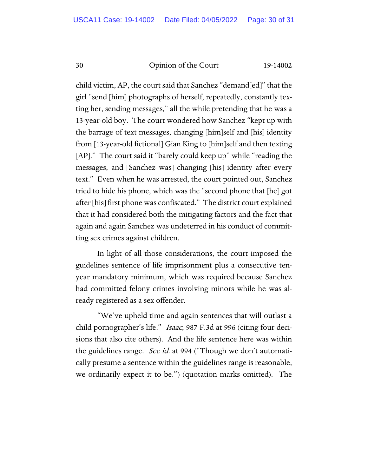child victim, AP, the court said that Sanchez "demand[ed]" that the girl "send [him] photographs of herself, repeatedly, constantly texting her, sending messages," all the while pretending that he was a 13-year-old boy. The court wondered how Sanchez "kept up with the barrage of text messages, changing [him]self and [his] identity from [13-year-old fictional] Gian King to [him]self and then texting [AP]." The court said it "barely could keep up" while "reading the messages, and [Sanchez was] changing [his] identity after every text." Even when he was arrested, the court pointed out, Sanchez tried to hide his phone, which was the "second phone that [he] got after [his] first phone was confiscated." The district court explained that it had considered both the mitigating factors and the fact that again and again Sanchez was undeterred in his conduct of committing sex crimes against children.

In light of all those considerations, the court imposed the guidelines sentence of life imprisonment plus a consecutive tenyear mandatory minimum, which was required because Sanchez had committed felony crimes involving minors while he was already registered as a sex offender.

"We've upheld time and again sentences that will outlast a child pornographer's life." *Isaac*, 987 F.3d at 996 (citing four decisions that also cite others). And the life sentence here was within the guidelines range. See id. at 994 ("Though we don't automatically presume a sentence within the guidelines range is reasonable, we ordinarily expect it to be.") (quotation marks omitted). The